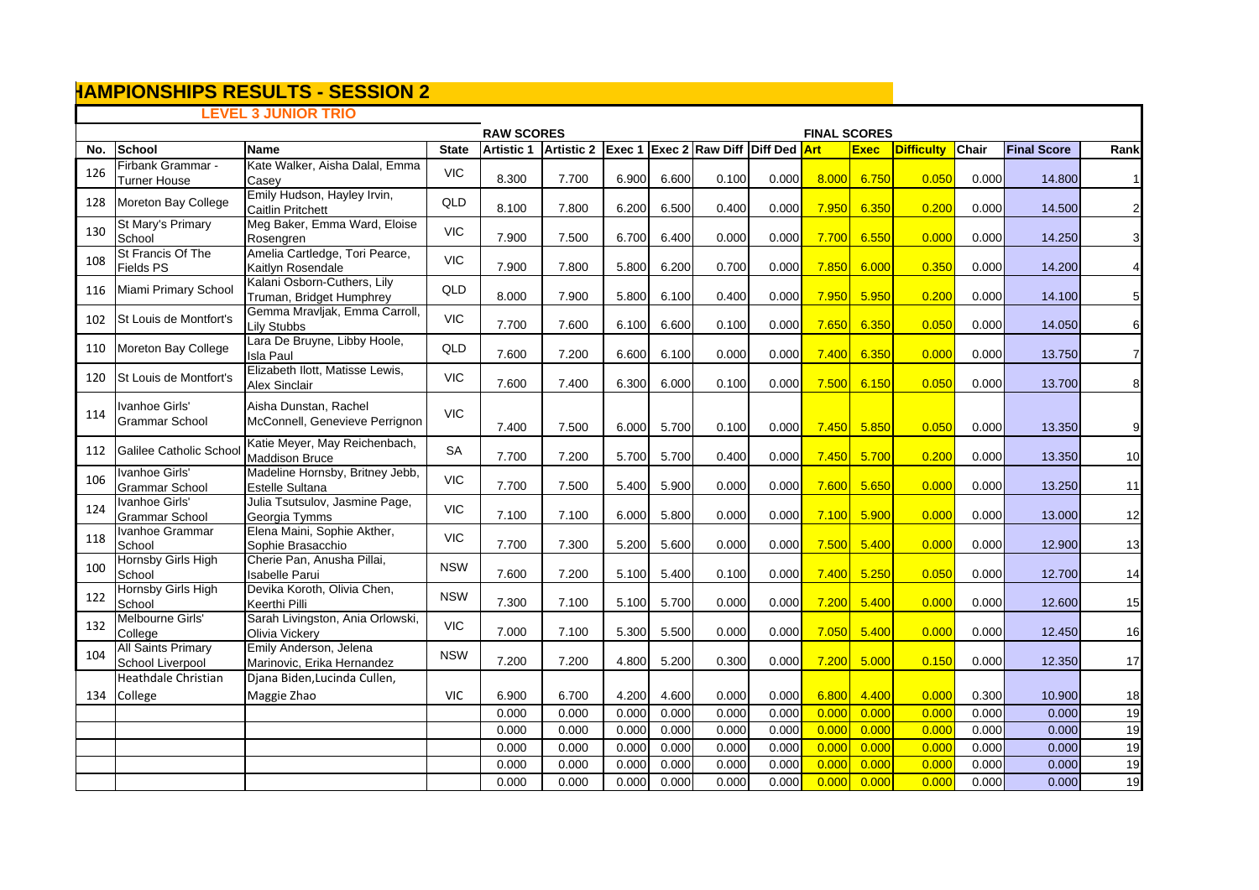# **HAMPIONSHIPS RESULTS - SESSION 2**

|  | <b>LEVEL 3 JUNIOR TRIO</b> |  |
|--|----------------------------|--|
|  |                            |  |
|  |                            |  |

|     |                                               |                                                           |              | <b>RAW SCORES</b> |                                                |       |       |       |       | <b>FINAL SCORES</b> |             |                   |       |                    |                |
|-----|-----------------------------------------------|-----------------------------------------------------------|--------------|-------------------|------------------------------------------------|-------|-------|-------|-------|---------------------|-------------|-------------------|-------|--------------------|----------------|
| No. | <b>School</b>                                 | <b>Name</b>                                               | <b>State</b> | Artistic 1        | Artistic 2 Exec 1 Exec 2 Raw Diff Diff Ded Art |       |       |       |       |                     | <b>Exec</b> | <b>Difficulty</b> | Chair | <b>Final Score</b> | Rank           |
| 126 | Firbank Grammar -<br><b>Turner House</b>      | Kate Walker, Aisha Dalal, Emma<br>Casey                   | <b>VIC</b>   | 8.300             | 7.700                                          | 6.900 | 6.600 | 0.100 | 0.000 | 8.000               | 6.750       | 0.050             | 0.000 | 14.800             | 1 <sup>1</sup> |
| 128 | Moreton Bay College                           | Emily Hudson, Hayley Irvin,<br>Caitlin Pritchett          | QLD          | 8.100             | 7.800                                          | 6.200 | 6.500 | 0.400 | 0.000 | 7.950               | 6.350       | 0.200             | 0.000 | 14.500             | 2 <sub>l</sub> |
| 130 | St Mary's Primary<br>School                   | Meg Baker, Emma Ward, Eloise<br>Rosengren                 | <b>VIC</b>   | 7.900             | 7.500                                          | 6.700 | 6.400 | 0.000 | 0.000 | 7.700               | 6.550       | 0.000             | 0.000 | 14.250             | $\overline{3}$ |
| 108 | St Francis Of The<br><b>Fields PS</b>         | Amelia Cartledge, Tori Pearce,<br>Kaitlyn Rosendale       | <b>VIC</b>   | 7.900             | 7.800                                          | 5.800 | 6.200 | 0.700 | 0.000 | 7.850               | 6.000       | 0.350             | 0.000 | 14.200             | $\overline{4}$ |
| 116 | Miami Primary School                          | Kalani Osborn-Cuthers, Lily<br>Truman, Bridget Humphrey   | QLD          | 8.000             | 7.900                                          | 5.800 | 6.100 | 0.400 | 0.000 | 7.950               | 5.950       | 0.200             | 0.000 | 14.100             | 5 <sub>l</sub> |
| 102 | St Louis de Montfort's                        | Gemma Mravljak, Emma Carroll,<br>Lily Stubbs              | VIC          | 7.700             | 7.600                                          | 6.100 | 6.600 | 0.100 | 0.000 | 7.650               | 6.350       | 0.050             | 0.000 | 14.050             | 6              |
| 110 | Moreton Bay College                           | Lara De Bruyne, Libby Hoole,<br><b>Isla Paul</b>          | QLD          | 7.600             | 7.200                                          | 6.600 | 6.100 | 0.000 | 0.000 | 7.400               | 6.350       | 0.000             | 0.000 | 13.750             | 7 <sup>1</sup> |
| 120 | St Louis de Montfort's                        | Elizabeth Ilott, Matisse Lewis,<br><b>Alex Sinclair</b>   | <b>VIC</b>   | 7.600             | 7.400                                          | 6.300 | 6.000 | 0.100 | 0.000 | 7.500               | 6.150       | 0.050             | 0.000 | 13.700             | 8 <sub>l</sub> |
| 114 | Ivanhoe Girls'<br><b>Grammar School</b>       | Aisha Dunstan, Rachel<br>McConnell, Genevieve Perrignon   | <b>VIC</b>   | 7.400             | 7.500                                          | 6.000 | 5.700 | 0.100 | 0.000 | 7.450               | 5.850       | 0.05C             | 0.000 | 13.350             | 9              |
| 112 | Galilee Catholic Schoo                        | Katie Meyer, May Reichenbach,<br><b>Maddison Bruce</b>    | SA           | 7.700             | 7.200                                          | 5.700 | 5.700 | 0.400 | 0.000 | 7.450               | 5.700       | 0.200             | 0.000 | 13.350             | 10             |
| 106 | Ivanhoe Girls'<br><b>Grammar School</b>       | Madeline Hornsby, Britney Jebb,<br><b>Estelle Sultana</b> | <b>VIC</b>   | 7.700             | 7.500                                          | 5.400 | 5.900 | 0.000 | 0.000 | 7.600               | 5.650       | 0.000             | 0.000 | 13.250             | 11             |
| 124 | Ivanhoe Girls'<br><b>Grammar School</b>       | Julia Tsutsulov, Jasmine Page,<br>Georgia Tymms           | <b>VIC</b>   | 7.100             | 7.100                                          | 6.000 | 5.800 | 0.000 | 0.000 | 7.100               | 5.900       | 0.000             | 0.000 | 13.000             | 12             |
| 118 | Ivanhoe Grammar<br>School                     | Elena Maini, Sophie Akther,<br>Sophie Brasacchio          | <b>VIC</b>   | 7.700             | 7.300                                          | 5.200 | 5.600 | 0.000 | 0.000 | 7.500               | 5.400       | 0.000             | 0.000 | 12.900             | 13             |
| 100 | Hornsby Girls High<br>School                  | Cherie Pan, Anusha Pillai,<br><b>Isabelle Parui</b>       | <b>NSW</b>   | 7.600             | 7.200                                          | 5.100 | 5.400 | 0.100 | 0.000 | 7.400               | 5.250       | 0.050             | 0.000 | 12.700             | 14             |
| 122 | Hornsby Girls High<br>School                  | Devika Koroth, Olivia Chen,<br>Keerthi Pilli              | <b>NSW</b>   | 7.300             | 7.100                                          | 5.100 | 5.700 | 0.000 | 0.000 | 7.200               | 5.400       | 0.000             | 0.000 | 12.600             | 15             |
| 132 | Melbourne Girls'<br>College                   | Sarah Livingston, Ania Orlowski,<br>Olivia Vickery        | <b>VIC</b>   | 7.000             | 7.100                                          | 5.300 | 5.500 | 0.000 | 0.000 | 7.050               | 5.400       | 0.000             | 0.000 | 12.450             | 16             |
| 104 | <b>All Saints Primary</b><br>School Liverpool | Emily Anderson, Jelena<br>Marinovic, Erika Hernandez      | <b>NSW</b>   | 7.200             | 7.200                                          | 4.800 | 5.200 | 0.300 | 0.000 | 7.200               | 5.000       | 0.150             | 0.000 | 12.350             | 17             |
| 134 | Heathdale Christian<br>College                | Djana Biden, Lucinda Cullen,<br>Maggie Zhao               | <b>VIC</b>   | 6.900             | 6.700                                          | 4.200 | 4.600 | 0.000 | 0.000 | 6.800               | 4.400       | 0.000             | 0.300 | 10.900             | 18             |
|     |                                               |                                                           |              | 0.000             | 0.000                                          | 0.000 | 0.000 | 0.000 | 0.000 | 0.000               | 0.000       | 0.000             | 0.000 | 0.000              | 19             |
|     |                                               |                                                           |              | 0.000             | 0.000                                          | 0.000 | 0.000 | 0.000 | 0.000 | 0.000               | 0.000       | 0.000             | 0.000 | 0.000              | 19             |
|     |                                               |                                                           |              | 0.000             | 0.000                                          | 0.000 | 0.000 | 0.000 | 0.000 | 0.000               | 0.000       | 0.000             | 0.000 | 0.000              | 19             |
|     |                                               |                                                           |              | 0.000             | 0.000                                          | 0.000 | 0.000 | 0.000 | 0.000 | 0.000               | 0.000       | 0.000             | 0.000 | 0.000              | 19             |
|     |                                               |                                                           |              | 0.000             | 0.000                                          | 0.000 | 0.000 | 0.000 | 0.000 | 0.000               | 0.000       | 0.000             | 0.000 | 0.000              | 19             |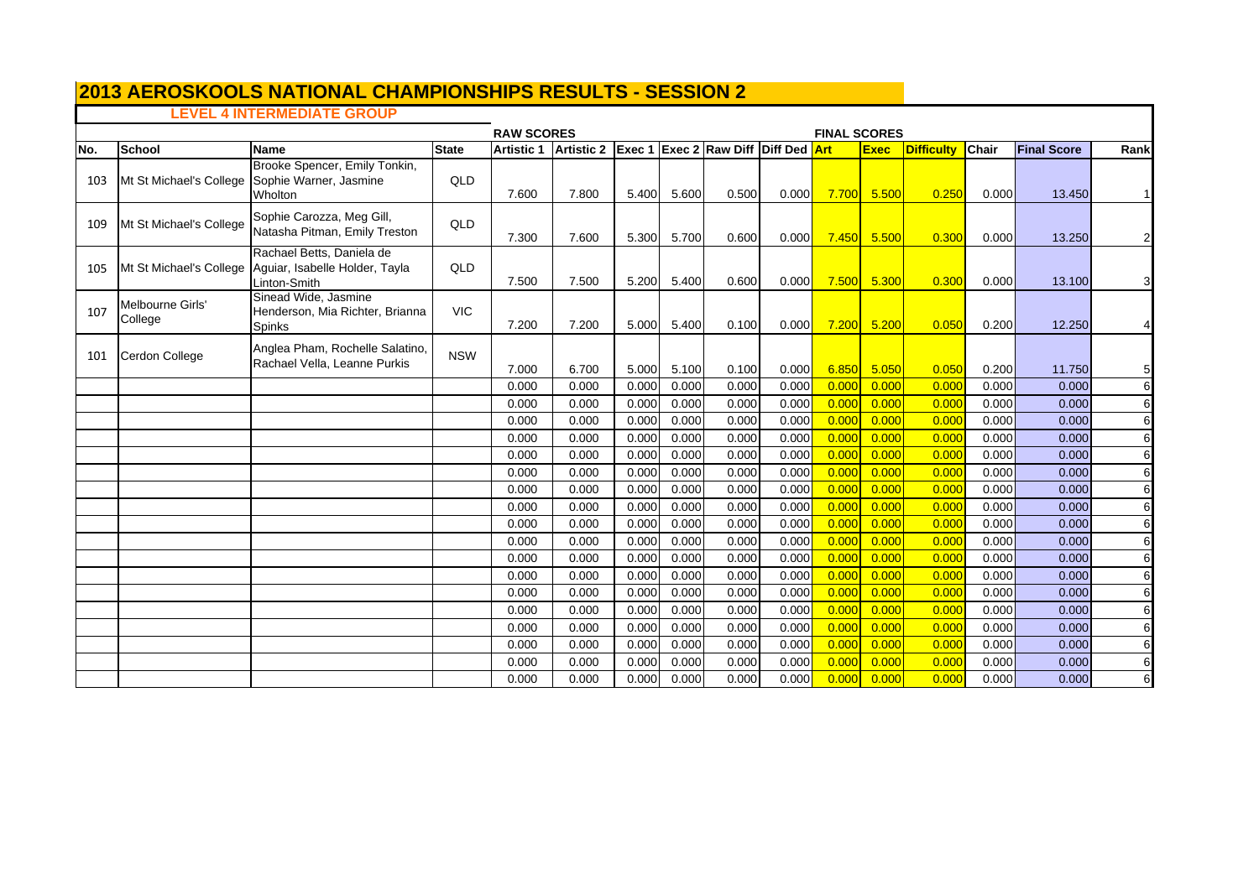# **LEVEL 4 INTERMEDIATE GROUP**

|      |                             |                                                                             |              | <b>RAW SCORES</b> |                   |                |                |                                            |                | <b>FINAL SCORES</b> |                |                   |                |                    |              |
|------|-----------------------------|-----------------------------------------------------------------------------|--------------|-------------------|-------------------|----------------|----------------|--------------------------------------------|----------------|---------------------|----------------|-------------------|----------------|--------------------|--------------|
| INo. | <b>School</b>               | <b>Name</b>                                                                 | <b>State</b> | <b>Artistic 1</b> | <b>Artistic 2</b> |                |                | <b>Exec 1 Exec 2 Raw Diff Diff Ded Art</b> |                |                     | <b>Exec</b>    | <b>Difficulty</b> | Chair          | <b>Final Score</b> | Rank         |
| 103  | Mt St Michael's College     | Brooke Spencer, Emily Tonkin,<br>Sophie Warner, Jasmine<br>Wholton          | QLD          | 7.600             | 7.800             | 5.400          | 5.600          | 0.500                                      | 0.000          | 7.700               | 5.500          | 0.250             | 0.000          | 13.450             |              |
| 109  | Mt St Michael's College     | Sophie Carozza, Meg Gill,<br>Natasha Pitman, Emily Treston                  | QLD          | 7.300             | 7.600             | 5.300          | 5.700          | 0.600                                      | 0.000          | 7.450               | 5.500          | 0.300             | 0.000          | 13.250             | $\mathsf{2}$ |
| 105  | Mt St Michael's College     | Rachael Betts, Daniela de<br>Aguiar, Isabelle Holder, Tayla<br>Linton-Smith | QLD          | 7.500             | 7.500             | 5.200          | 5.400          | 0.600                                      | 0.000          | 7.500               | 5.300          | 0.300             | 0.000          | 13.100             | 3            |
| 107  | Melbourne Girls'<br>College | Sinead Wide, Jasmine<br>Henderson, Mia Richter, Brianna<br><b>Spinks</b>    | <b>VIC</b>   | 7.200             | 7.200             | 5.000          | 5.400          | 0.100                                      | 0.000          | 7.200               | 5.200          | 0.050             | 0.200          | 12.250             |              |
| 101  | <b>Cerdon College</b>       | Anglea Pham, Rochelle Salatino,<br>Rachael Vella, Leanne Purkis             | <b>NSW</b>   | 7.000             | 6.700             | 5.000          | 5.100          | 0.100                                      | 0.000          | 6.850               | 5.050          | 0.050             | 0.200          | 11.750             | 5            |
|      |                             |                                                                             |              | 0.000             | 0.000             | 0.000          | 0.000          | 0.000                                      | 0.000          | 0.000               | 0.000          | 0.000             | 0.000          | 0.000              | 6            |
|      |                             |                                                                             |              | 0.000             | 0.000             | 0.000          | 0.000          | 0.000                                      | 0.000          | 0.000               | 0.000          | 0.00C             | 0.000          | 0.000              | 6            |
|      |                             |                                                                             |              | 0.000             | 0.000             | 0.000          | 0.000          | 0.000                                      | 0.000          | 0.000               | 0.000          | 0.000             | 0.000          | 0.000              | 6            |
|      |                             |                                                                             |              | 0.000             | 0.000             | 0.000          | 0.000          | 0.000                                      | 0.000          | 0.000               | 0.000          | 0.00C             | 0.000          | 0.000              | 6            |
|      |                             |                                                                             |              | 0.000             | 0.000             | 0.000          | 0.000          | 0.000                                      | 0.000          | 0.00C               | 0.000          | 0.00C             | 0.000          | 0.000              | 6            |
|      |                             |                                                                             |              | 0.000             | 0.000             | 0.000          | 0.000          | 0.000                                      | 0.000          | 0.000               | 0.000          | 0.000             | 0.000          | 0.000              | 6            |
|      |                             |                                                                             |              | 0.000             | 0.000             | 0.000          | 0.000          | 0.000                                      | 0.000          | 0.00C               | 0.000          | 0.000             | 0.000          | 0.000              | 6            |
|      |                             |                                                                             |              | 0.000             | 0.000             | 0.000          | 0.000          | 0.000                                      | 0.000          | 0.000               | 0.000          | 0.00C             | 0.000          | 0.000              | 6            |
|      |                             |                                                                             |              | 0.000             | 0.000             | 0.000          | 0.000          | 0.000                                      | 0.000          | 0.000               | 0.000          | 0.00C             | 0.000          | 0.000              | 6            |
|      |                             |                                                                             |              | 0.000             | 0.000             | 0.000          | 0.000          | 0.000                                      | 0.000          | 0.000               | 0.000          | 0.00C             | 0.000          | 0.000              | 6            |
|      |                             |                                                                             |              | 0.000             | 0.000             | 0.000          | 0.000          | 0.000                                      | 0.000          | 0.000               | 0.000          | 0.000             | 0.000          | 0.000              | 6            |
|      |                             |                                                                             |              | 0.000<br>0.000    | 0.000<br>0.000    | 0.000<br>0.000 | 0.000<br>0.000 | 0.000<br>0.000                             | 0.000<br>0.000 | 0.000<br>0.000      | 0.000<br>0.000 | 0.000<br>0.00C    | 0.000<br>0.000 | 0.000<br>0.000     | 6<br>6       |
|      |                             |                                                                             |              | 0.000             | 0.000             | 0.000          | 0.000          | 0.000                                      | 0.000          | 0.000               | 0.000          | 0.00C             | 0.000          | 0.000              | 6            |
|      |                             |                                                                             |              | 0.000             | 0.000             | 0.000          | 0.000          | 0.000                                      | 0.000          | 0.000               | 0.000          | 0.000             | 0.000          | 0.000              | 6            |
|      |                             |                                                                             |              | 0.000             | 0.000             | 0.000          | 0.000          | 0.000                                      | 0.000          | 0.000               | 0.000          | 0.00C             | 0.000          | 0.000              | 6            |
|      |                             |                                                                             |              | 0.000             | 0.000             | 0.000          | 0.000          | 0.000                                      | 0.000          | 0.00C               | 0.000          | 0.00C             | 0.000          | 0.000              | 6            |
|      |                             |                                                                             |              | 0.000             | 0.000             | 0.000          | 0.000          | 0.000                                      | 0.000          | 0.000               | 0.000          | 0.00C             | 0.000          | 0.000              | 6            |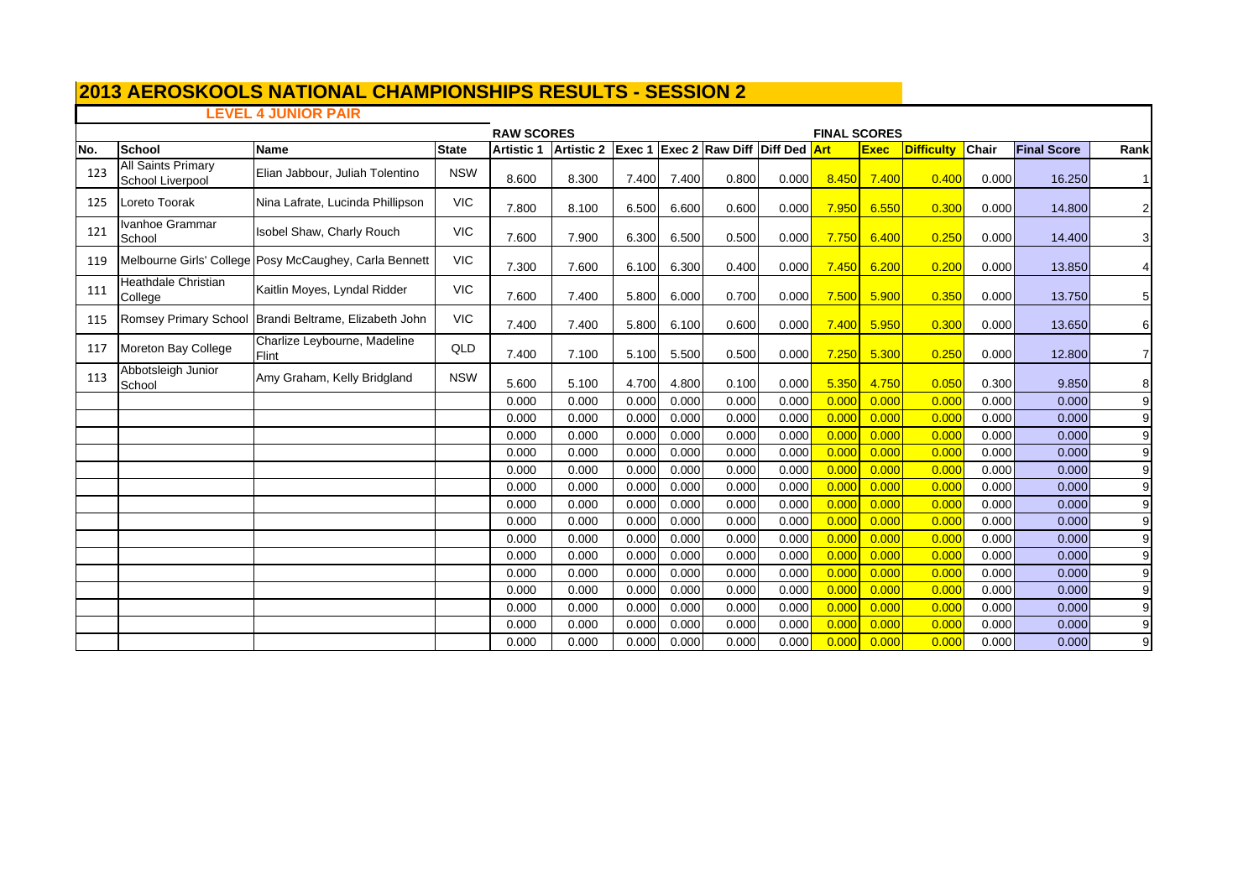## **LEVEL 4 JUNIOR PAIR**

|     |                                               |                                                        |              | <b>RAW SCORES</b> |                   |       |       |       |       | <b>FINAL SCORES</b> |             |                   |              |                    |                |
|-----|-----------------------------------------------|--------------------------------------------------------|--------------|-------------------|-------------------|-------|-------|-------|-------|---------------------|-------------|-------------------|--------------|--------------------|----------------|
| No. | <b>School</b>                                 | <b>Name</b>                                            | <b>State</b> | <b>Artistic 1</b> | <b>Artistic 2</b> |       |       |       |       |                     | <b>Exec</b> | <b>Difficulty</b> | <b>Chair</b> | <b>Final Score</b> | Rank           |
| 123 | <b>All Saints Primary</b><br>School Liverpool | Elian Jabbour, Juliah Tolentino                        | <b>NSW</b>   | 8.600             | 8.300             | 7.400 | 7.400 | 0.800 | 0.000 | 8.450               | 7.400       | 0.400             | 0.000        | 16.250             | $\vert$        |
| 125 | Loreto Toorak                                 | Nina Lafrate, Lucinda Phillipson                       | <b>VIC</b>   | 7.800             | 8.100             | 6.500 | 6.600 | 0.600 | 0.000 | 7.950               | 6.550       | 0.300             | 0.000        | 14.800             | $\overline{2}$ |
| 121 | Ivanhoe Grammar<br>School                     | Isobel Shaw, Charly Rouch                              | <b>VIC</b>   | 7.600             | 7.900             | 6.300 | 6.500 | 0.500 | 0.000 | 7.750               | 6.400       | 0.250             | 0.000        | 14.400             | 3              |
| 119 |                                               | Melbourne Girls' College Posy McCaughey, Carla Bennett | <b>VIC</b>   | 7.300             | 7.600             | 6.100 | 6.300 | 0.400 | 0.000 | 7.450               | 6.200       | 0.200             | 0.000        | 13.850             | $\overline{4}$ |
| 111 | Heathdale Christian<br>College                | Kaitlin Moyes, Lyndal Ridder                           | <b>VIC</b>   | 7.600             | 7.400             | 5.800 | 6.000 | 0.700 | 0.000 | 7.500               | 5.900       | 0.350             | 0.000        | 13.750             | 5              |
| 115 |                                               | Romsey Primary School Brandi Beltrame, Elizabeth John  | <b>VIC</b>   | 7.400             | 7.400             | 5.800 | 6.100 | 0.600 | 0.000 | 7.400               | 5.950       | 0.300             | 0.000        | 13.650             | 6              |
| 117 | Moreton Bay College                           | Charlize Leybourne, Madeline<br><b>Flint</b>           | QLD          | 7.400             | 7.100             | 5.100 | 5.500 | 0.500 | 0.000 | 7.250               | 5.300       | 0.250             | 0.000        | 12.800             | $\overline{7}$ |
| 113 | Abbotsleigh Junior<br>School                  | Amy Graham, Kelly Bridgland                            | <b>NSW</b>   | 5.600             | 5.100             | 4.700 | 4.800 | 0.100 | 0.000 | 5.350               | 4.750       | 0.050             | 0.300        | 9.850              | 8              |
|     |                                               |                                                        |              | 0.000             | 0.000             | 0.000 | 0.000 | 0.000 | 0.000 | 0.000               | 0.000       | 0.000             | 0.000        | 0.000              | 9              |
|     |                                               |                                                        |              | 0.000             | 0.000             | 0.000 | 0.000 | 0.000 | 0.000 | 0.000               | 0.000       | 0.000             | 0.000        | 0.000              | 9              |
|     |                                               |                                                        |              | 0.000             | 0.000             | 0.000 | 0.000 | 0.000 | 0.000 | 0.000               | 0.000       | 0.000             | 0.000        | 0.000              | 9              |
|     |                                               |                                                        |              | 0.000             | 0.000             | 0.000 | 0.000 | 0.000 | 0.000 | 0.000               | 0.000       | 0.000             | 0.000        | 0.000              | 9              |
|     |                                               |                                                        |              | 0.000             | 0.000             | 0.000 | 0.000 | 0.000 | 0.000 | 0.000               | 0.000       | 0.000             | 0.000        | 0.000              | 9              |
|     |                                               |                                                        |              | 0.000             | 0.000             | 0.000 | 0.000 | 0.000 | 0.000 | 0.000               | 0.000       | 0.000             | 0.000        | 0.000              | 9              |
|     |                                               |                                                        |              | 0.000             | 0.000             | 0.000 | 0.000 | 0.000 | 0.000 | 0.000               | 0.000       | 0.000             | 0.000        | 0.000              | 9              |
|     |                                               |                                                        |              | 0.000             | 0.000             | 0.000 | 0.000 | 0.000 | 0.000 | 0.000               | 0.000       | 0.000             | 0.000        | 0.000              | 9              |
|     |                                               |                                                        |              | 0.000             | 0.000             | 0.000 | 0.000 | 0.000 | 0.000 | 0.000               | 0.000       | 0.000             | 0.000        | 0.000              | 9              |
|     |                                               |                                                        |              | 0.000             | 0.000             | 0.000 | 0.000 | 0.000 | 0.000 | 0.000               | 0.000       | 0.000             | 0.000        | 0.000              | 9              |
|     |                                               |                                                        |              | 0.000             | 0.000             | 0.000 | 0.000 | 0.000 | 0.000 | 0.000               | 0.000       | 0.000             | 0.000        | 0.000              | 9              |
|     |                                               |                                                        |              | 0.000             | 0.000             | 0.000 | 0.000 | 0.000 | 0.000 | 0.000               | 0.000       | 0.000             | 0.000        | 0.000              | 9              |
|     |                                               |                                                        |              | 0.000             | 0.000             | 0.000 | 0.000 | 0.000 | 0.000 | 0.000               | 0.000       | 0.000             | 0.000        | 0.000              | 9              |
|     |                                               |                                                        |              | 0.000             | 0.000             | 0.000 | 0.000 | 0.000 | 0.000 | 0.000               | 0.000       | 0.000             | 0.000        | 0.000              | 9              |
|     |                                               |                                                        |              | 0.000             | 0.000             | 0.000 | 0.000 | 0.000 | 0.000 | 0.000               | 0.000       | 0.000             | 0.000        | 0.000              | 9              |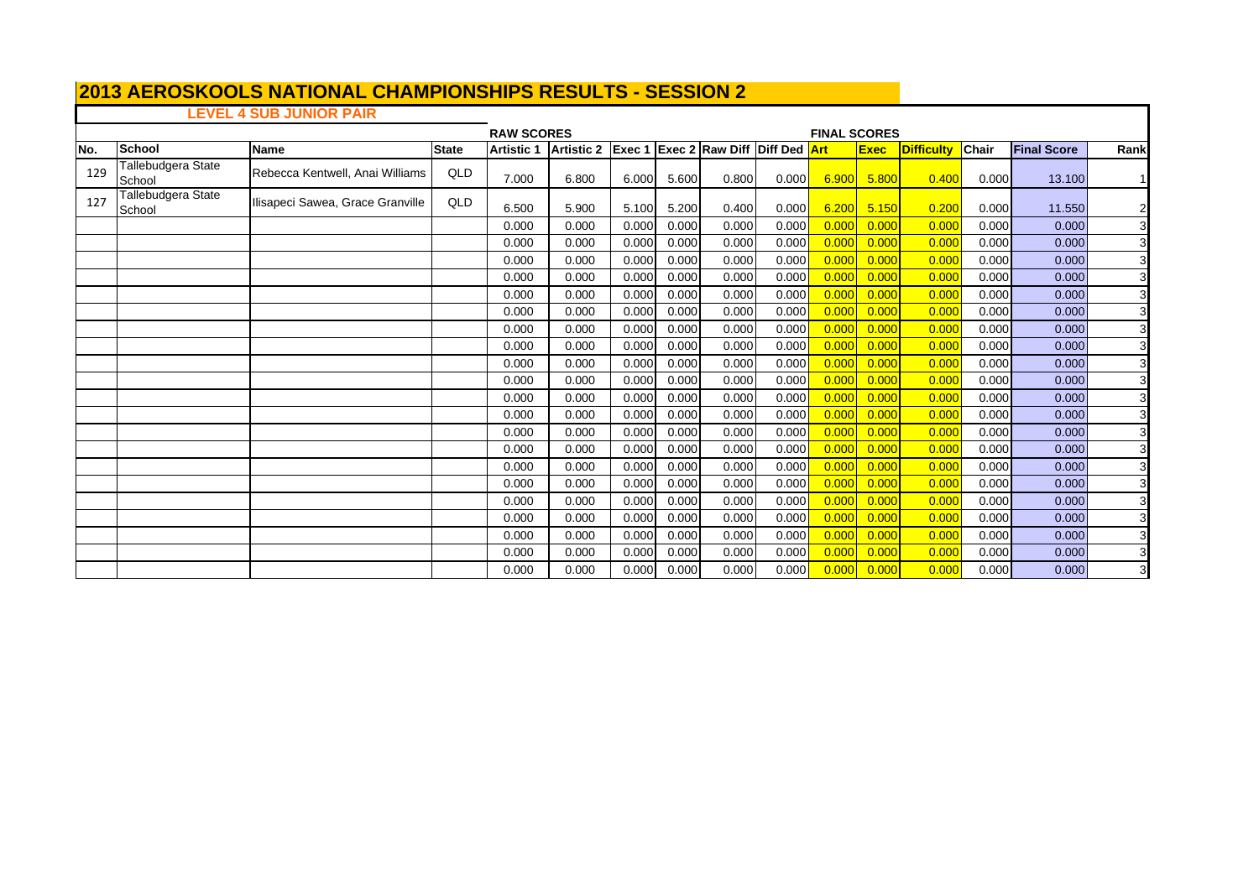# **LEVEL 4 SUB JUNIOR PAIR**

|     |                              |                                  |              | <b>RAW SCORES</b> |                   |       |       |                                            |       | <b>FINAL SCORES</b> |             |                   |                |                    |                |
|-----|------------------------------|----------------------------------|--------------|-------------------|-------------------|-------|-------|--------------------------------------------|-------|---------------------|-------------|-------------------|----------------|--------------------|----------------|
| No. | School                       | <b>Name</b>                      | <b>State</b> | <b>Artistic 1</b> | <b>Artistic 2</b> |       |       | <b>Exec 1 Exec 2 Raw Diff Diff Ded Art</b> |       |                     | <b>Exec</b> | <b>Difficulty</b> | <b>I</b> Chair | <b>Final Score</b> | Rank           |
| 129 | Tallebudgera State<br>School | Rebecca Kentwell, Anai Williams  | <b>QLD</b>   | 7.000             | 6.800             | 6.000 | 5.600 | 0.800                                      | 0.000 | 6.900               | 5.800       | 0.400             | 0.000          | 13.100             | $\mathbf{1}$   |
| 127 | Tallebudgera State<br>School | Ilisapeci Sawea, Grace Granville | <b>QLD</b>   | 6.500             | 5.900             | 5.100 | 5.200 | 0.400                                      | 0.000 | 6.200               | 5.150       | 0.200             | 0.000          | 11.550             | $\overline{2}$ |
|     |                              |                                  |              | 0.000             | 0.000             | 0.000 | 0.000 | 0.000                                      | 0.000 | 0.000               | 0.000       | 0.000             | 0.000          | 0.000              | 3              |
|     |                              |                                  |              | 0.000             | 0.000             | 0.000 | 0.000 | 0.000                                      | 0.000 | 0.000               | 0.000       | 0.000             | 0.000          | 0.000              | $\overline{3}$ |
|     |                              |                                  |              | 0.000             | 0.000             | 0.000 | 0.000 | 0.000                                      | 0.000 | 0.000               | 0.000       | 0.000             | 0.000          | 0.000              | 3              |
|     |                              |                                  |              | 0.000             | 0.000             | 0.000 | 0.000 | 0.000                                      | 0.000 | 0.000               | 0.000       | 0.000             | 0.000          | 0.000              | 3              |
|     |                              |                                  |              | 0.000             | 0.000             | 0.000 | 0.000 | 0.000                                      | 0.000 | 0.000               | 0.000       | 0.000             | 0.000          | 0.000              | $\overline{3}$ |
|     |                              |                                  |              | 0.000             | 0.000             | 0.000 | 0.000 | 0.000                                      | 0.000 | 0.000               | 0.000       | 0.000             | 0.000          | 0.000              | 3              |
|     |                              |                                  |              | 0.000             | 0.000             | 0.000 | 0.000 | 0.000                                      | 0.000 | 0.000               | 0.000       | 0.000             | 0.000          | 0.000              | $\overline{3}$ |
|     |                              |                                  |              | 0.000             | 0.000             | 0.000 | 0.000 | 0.000                                      | 0.000 | 0.000               | 0.000       | 0.000             | 0.000          | 0.000              | 3              |
|     |                              |                                  |              | 0.000             | 0.000             | 0.000 | 0.000 | 0.000                                      | 0.000 | 0.000               | 0.000       | 0.000             | 0.000          | 0.000              | 3              |
|     |                              |                                  |              | 0.000             | 0.000             | 0.000 | 0.000 | 0.000                                      | 0.000 | 0.000               | 0.000       | 0.000             | 0.000          | 0.000              | 3              |
|     |                              |                                  |              | 0.000             | 0.000             | 0.000 | 0.000 | 0.000                                      | 0.000 | 0.000               | 0.000       | 0.000             | 0.000          | 0.000              | 3              |
|     |                              |                                  |              | 0.000             | 0.000             | 0.000 | 0.000 | 0.000                                      | 0.000 | 0.000               | 0.000       | 0.000             | 0.000          | 0.000              | 3              |
|     |                              |                                  |              | 0.000             | 0.000             | 0.000 | 0.000 | 0.000                                      | 0.000 | 0.000               | 0.000       | 0.000             | 0.000          | 0.000              | 3              |
|     |                              |                                  |              | 0.000             | 0.000             | 0.000 | 0.000 | 0.000                                      | 0.000 | 0.000               | 0.000       | 0.000             | 0.000          | 0.000              | 3              |
|     |                              |                                  |              | 0.000             | 0.000             | 0.000 | 0.000 | 0.000                                      | 0.000 | 0.000               | 0.000       | 0.000             | 0.000          | 0.000              | 3              |
|     |                              |                                  |              | 0.000             | 0.000             | 0.000 | 0.000 | 0.000                                      | 0.000 | 0.000               | 0.000       | 0.000             | 0.000          | 0.000              | 3              |
|     |                              |                                  |              | 0.000             | 0.000             | 0.000 | 0.000 | 0.000                                      | 0.000 | 0.000               | 0.000       | 0.000             | 0.000          | 0.000              | 3              |
|     |                              |                                  |              | 0.000             | 0.000             | 0.000 | 0.000 | 0.000                                      | 0.000 | 0.000               | 0.000       | 0.000             | 0.000          | 0.000              | 3              |
|     |                              |                                  |              | 0.000             | 0.000             | 0.000 | 0.000 | 0.000                                      | 0.000 | 0.000               | 0.000       | 0.000             | 0.000          | 0.000              | 3              |
|     |                              |                                  |              | 0.000             | 0.000             | 0.000 | 0.000 | 0.000                                      | 0.000 | 0.000               | 0.000       | 0.000             | 0.000          | 0.000              | 3              |
|     |                              |                                  |              | 0.000             | 0.000             | 0.000 | 0.000 | 0.000                                      | 0.000 | 0.000               | 0.000       | 0.000             | 0.000          | 0.000              | 3              |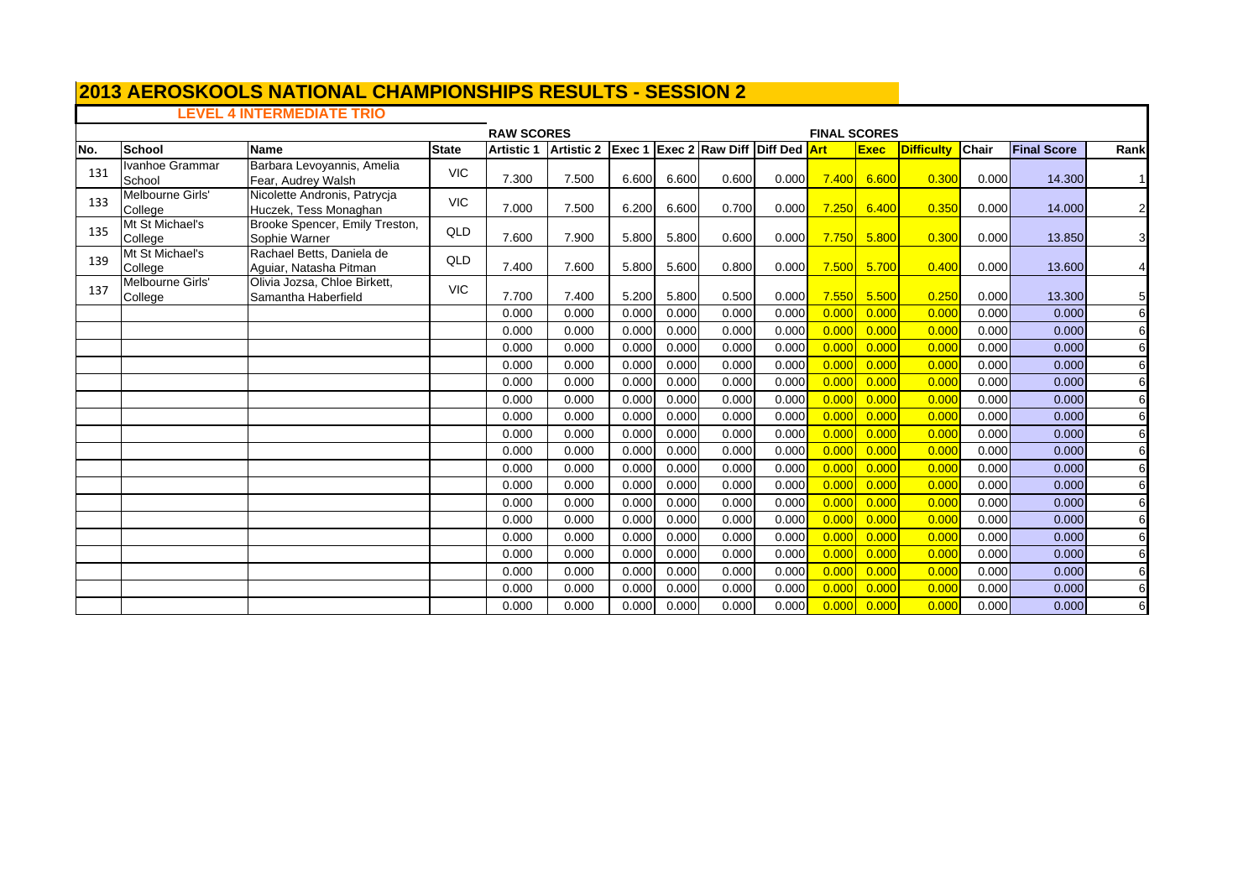# **LEVEL 4 INTERMEDIATE TRIO**

|     |                             |                                                       |              | <b>RAW SCORES</b> |                                                |       |       |       |       | <b>FINAL SCORES</b> |             |                   |              |                    |                  |
|-----|-----------------------------|-------------------------------------------------------|--------------|-------------------|------------------------------------------------|-------|-------|-------|-------|---------------------|-------------|-------------------|--------------|--------------------|------------------|
| No. | <b>School</b>               | <b>Name</b>                                           | <b>State</b> | <b>Artistic 1</b> | Artistic 2 Exec 1 Exec 2 Raw Diff Diff Ded Art |       |       |       |       |                     | <b>Exec</b> | <b>Difficulty</b> | <b>Chair</b> | <b>Final Score</b> | Rank             |
| 131 | Ivanhoe Grammar<br>School   | Barbara Levoyannis, Amelia<br>Fear, Audrey Walsh      | <b>VIC</b>   | 7.300             | 7.500                                          | 6.600 | 6.600 | 0.600 | 0.000 | 7.400               | 6.600       | 0.300             | 0.000        | 14.300             |                  |
| 133 | Melbourne Girls'<br>College | Nicolette Andronis, Patrycja<br>Huczek, Tess Monaghan | <b>VIC</b>   | 7.000             | 7.500                                          | 6.200 | 6.600 | 0.700 | 0.000 | 7.250               | 6.400       | 0.350             | 0.000        | 14.000             | $\mathbf{2}$     |
| 135 | Mt St Michael's<br>College  | Brooke Spencer, Emily Treston,<br>Sophie Warner       | QLD          | 7.600             | 7.900                                          | 5.800 | 5.800 | 0.600 | 0.000 | 7.750               | 5.800       | 0.300             | 0.000        | 13.850             | 3                |
| 139 | Mt St Michael's<br>College  | Rachael Betts, Daniela de<br>Aguiar, Natasha Pitman   | QLD          | 7.400             | 7.600                                          | 5.800 | 5.600 | 0.800 | 0.000 | 7.500               | 5.700       | 0.400             | 0.000        | 13.600             | 4                |
| 137 | Melbourne Girls'<br>College | Olivia Jozsa, Chloe Birkett,<br>Samantha Haberfield   | <b>VIC</b>   | 7.700             | 7.400                                          | 5.200 | 5.800 | 0.500 | 0.000 | 7.550               | 5.500       | 0.250             | 0.000        | 13.300             | 5 <sub>l</sub>   |
|     |                             |                                                       |              | 0.000             | 0.000                                          | 0.000 | 0.000 | 0.000 | 0.000 | 0.000               | 0.000       | 0.000             | 0.000        | 0.000              | 6                |
|     |                             |                                                       |              | 0.000             | 0.000                                          | 0.000 | 0.000 | 0.000 | 0.000 | 0.000               | 0.000       | 0.000             | 0.000        | 0.000              | 6                |
|     |                             |                                                       |              | 0.000             | 0.000                                          | 0.000 | 0.000 | 0.000 | 0.000 | 0.000               | 0.000       | 0.000             | 0.000        | 0.000              | 6                |
|     |                             |                                                       |              | 0.000             | 0.000                                          | 0.000 | 0.000 | 0.000 | 0.000 | 0.000               | 0.000       | 0.000             | 0.000        | 0.000              | 6                |
|     |                             |                                                       |              | 0.000             | 0.000                                          | 0.000 | 0.000 | 0.000 | 0.000 | 0.000               | 0.000       | 0.000             | 0.000        | 0.000              | $6 \blacksquare$ |
|     |                             |                                                       |              | 0.000             | 0.000                                          | 0.000 | 0.000 | 0.000 | 0.000 | 0.000               | 0.000       | 0.000             | 0.000        | 0.000              | $6 \mid$         |
|     |                             |                                                       |              | 0.000             | 0.000                                          | 0.000 | 0.000 | 0.000 | 0.000 | 0.000               | 0.000       | 0.000             | 0.000        | 0.000              | 6                |
|     |                             |                                                       |              | 0.000             | 0.000                                          | 0.000 | 0.000 | 0.000 | 0.000 | 0.000               | 0.000       | 0.000             | 0.000        | 0.000              | 6                |
|     |                             |                                                       |              | 0.000             | 0.000                                          | 0.000 | 0.000 | 0.000 | 0.000 | 0.000               | 0.000       | 0.000             | 0.000        | 0.000              | 6                |
|     |                             |                                                       |              | 0.000             | 0.000                                          | 0.000 | 0.000 | 0.000 | 0.000 | 0.000               | 0.000       | 0.000             | 0.000        | 0.000              | 6                |
|     |                             |                                                       |              | 0.000             | 0.000                                          | 0.000 | 0.000 | 0.000 | 0.000 | 0.000               | 0.000       | 0.000             | 0.000        | 0.000              | $6 \mid$         |
|     |                             |                                                       |              | 0.000             | 0.000                                          | 0.000 | 0.000 | 0.000 | 0.000 | 0.000               | 0.000       | 0.000             | 0.000        | 0.000              | 6                |
|     |                             |                                                       |              | 0.000             | 0.000                                          | 0.000 | 0.000 | 0.000 | 0.000 | 0.000               | 0.000       | 0.000             | 0.000        | 0.000              | 6                |
|     |                             |                                                       |              | 0.000             | 0.000                                          | 0.000 | 0.000 | 0.000 | 0.000 | 0.000               | 0.000       | 0.000             | 0.000        | 0.000              | 6                |
|     |                             |                                                       |              | 0.000             | 0.000                                          | 0.000 | 0.000 | 0.000 | 0.000 | 0.000               | 0.000       | 0.000             | 0.000        | 0.000              | 6                |
|     |                             |                                                       |              | 0.000             | 0.000                                          | 0.000 | 0.000 | 0.000 | 0.000 | 0.000               | 0.000       | 0.000             | 0.000        | 0.000              | $6 \mid$         |
|     |                             |                                                       |              | 0.000             | 0.000                                          | 0.000 | 0.000 | 0.000 | 0.000 | 0.000               | 0.000       | 0.000             | 0.000        | 0.000              | $6 \mid$         |
|     |                             |                                                       |              | 0.000             | 0.000                                          | 0.000 | 0.000 | 0.000 | 0.000 | 0.000               | 0.000       | 0.000             | 0.000        | 0.000              | $6 \mid$         |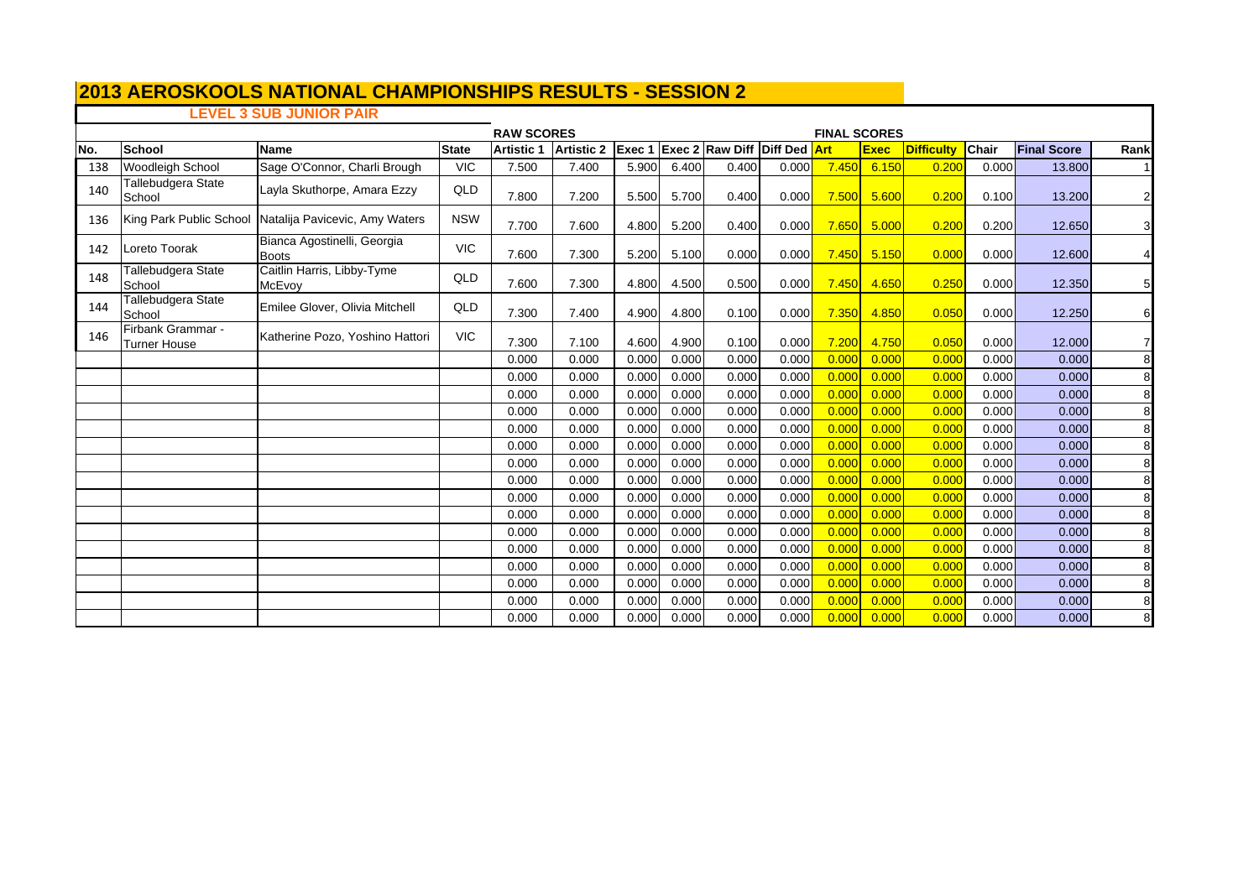# **2013 AEROSKOOLS NATIONAL CHAMPIONSHIPS RESULTS - SESSION 2 LEVEL 3 SUB JUNIOR PAIR**

|     |                                   |                                             |              | <b>RAW SCORES</b> |                   |       |       |       |                                 | <b>FINAL SCORES</b> |               |                   |       |                    |              |
|-----|-----------------------------------|---------------------------------------------|--------------|-------------------|-------------------|-------|-------|-------|---------------------------------|---------------------|---------------|-------------------|-------|--------------------|--------------|
| No. | School                            | <b>Name</b>                                 | <b>State</b> | <b>Artistic 1</b> | <b>Artistic 2</b> |       |       |       | Exec 1 Exec 2 Raw Diff Diff Ded | <b>Art</b>          | <b>Exec</b>   | <b>Difficulty</b> | Chair | <b>Final Score</b> | Rank         |
| 138 | <b>Woodleigh School</b>           | Sage O'Connor, Charli Brough                | <b>VIC</b>   | 7.500             | 7.400             | 5.900 | 6.400 | 0.400 | 0.000                           | 7.450               | 6.150         | 0.200             | 0.000 | 13.800             |              |
| 140 | Tallebudgera State<br>School      | Layla Skuthorpe, Amara Ezzy                 | <b>QLD</b>   | 7.800             | 7.200             | 5.500 | 5.700 | 0.400 | 0.000                           | 7.500               | 5.600         | 0.200             | 0.100 | 13.200             | $\mathsf{2}$ |
| 136 | King Park Public School           | Natalija Pavicevic, Amy Waters              | <b>NSW</b>   | 7.700             | 7.600             | 4.800 | 5.200 | 0.400 | 0.000                           | 7.650               | 5.000         | 0.200             | 0.200 | 12.650             | 3            |
| 142 | Loreto Toorak                     | Bianca Agostinelli, Georgia<br><b>Boots</b> | <b>VIC</b>   | 7.600             | 7.300             | 5.200 | 5.100 | 0.000 | 0.000                           |                     | $7.450$ 5.150 | 0.000             | 0.000 | 12.600             | 4            |
| 148 | Tallebudgera State<br>School      | Caitlin Harris, Libby-Tyme<br>McEvoy        | QLD          | 7.600             | 7.300             | 4.800 | 4.500 | 0.500 | 0.000                           | 7.450               | 4.650         | 0.250             | 0.000 | 12.350             | $5 \mid$     |
| 144 | Tallebudgera State<br>School      | Emilee Glover, Olivia Mitchell              | QLD          | 7.300             | 7.400             | 4.900 | 4.800 | 0.100 | 0.000                           | 7.350               | 4.850         | 0.050             | 0.000 | 12.250             | 6            |
| 146 | Firbank Grammar -<br>Turner House | Katherine Pozo, Yoshino Hattori             | <b>VIC</b>   | 7.300             | 7.100             | 4.600 | 4.900 | 0.100 | 0.000                           | 7.200               | 4.750         | 0.050             | 0.000 | 12.000             |              |
|     |                                   |                                             |              | 0.000             | 0.000             | 0.000 | 0.000 | 0.000 | 0.000                           | 0.000               | 0.000         | 0.000             | 0.000 | 0.000              | 8            |
|     |                                   |                                             |              | 0.000             | 0.000             | 0.000 | 0.000 | 0.000 | 0.000                           | 0.000               | 0.000         | 0.000             | 0.000 | 0.000              | 8            |
|     |                                   |                                             |              | 0.000             | 0.000             | 0.000 | 0.000 | 0.000 | 0.000                           | 0.000               | 0.000         | 0.000             | 0.000 | 0.000              | 8            |
|     |                                   |                                             |              | 0.000             | 0.000             | 0.000 | 0.000 | 0.000 | 0.000                           | 0.000               | 0.000         | 0.000             | 0.000 | 0.000              | 8            |
|     |                                   |                                             |              | 0.000             | 0.000             | 0.000 | 0.000 | 0.000 | 0.000                           | 0.000               | 0.000         | 0.000             | 0.000 | 0.000              | 8            |
|     |                                   |                                             |              | 0.000             | 0.000             | 0.000 | 0.000 | 0.000 | 0.000                           | 0.000               | 0.000         | 0.000             | 0.000 | 0.000              | 8            |
|     |                                   |                                             |              | 0.000             | 0.000             | 0.000 | 0.000 | 0.000 | 0.000                           | 0.000               | 0.000         | 0.000             | 0.000 | 0.000              | 8            |
|     |                                   |                                             |              | 0.000             | 0.000             | 0.000 | 0.000 | 0.000 | 0.000                           | 0.000               | 0.000         | 0.000             | 0.000 | 0.000              | 8            |
|     |                                   |                                             |              | 0.000             | 0.000             | 0.000 | 0.000 | 0.000 | 0.000                           | 0.000               | 0.000         | 0.000             | 0.000 | 0.000              | 8            |
|     |                                   |                                             |              | 0.000             | 0.000             | 0.000 | 0.000 | 0.000 | 0.000                           | 0.000               | 0.000         | 0.000             | 0.000 | 0.000              | 8            |
|     |                                   |                                             |              | 0.000             | 0.000             | 0.000 | 0.000 | 0.000 | 0.000                           | 0.000               | 0.000         | 0.000             | 0.000 | 0.000              | 8            |
|     |                                   |                                             |              | 0.000             | 0.000             | 0.000 | 0.000 | 0.000 | 0.000                           | 0.000               | 0.000         | 0.000             | 0.000 | 0.000              | 8            |
|     |                                   |                                             |              | 0.000             | 0.000             | 0.000 | 0.000 | 0.000 | 0.000                           | 0.000               | 0.000         | 0.000             | 0.000 | 0.000              | 8            |
|     |                                   |                                             |              | 0.000             | 0.000             | 0.000 | 0.000 | 0.000 | 0.000                           | 0.000               | 0.000         | 0.000             | 0.000 | 0.000              | 8            |
|     |                                   |                                             |              | 0.000             | 0.000             | 0.000 | 0.000 | 0.000 | 0.000                           | 0.000               | 0.000         | 0.000             | 0.000 | 0.000              | 8            |
|     |                                   |                                             |              | 0.000             | 0.000             | 0.000 | 0.000 | 0.000 | 0.000                           | 0.000               | 0.000         | 0.000             | 0.000 | 0.000              | 8            |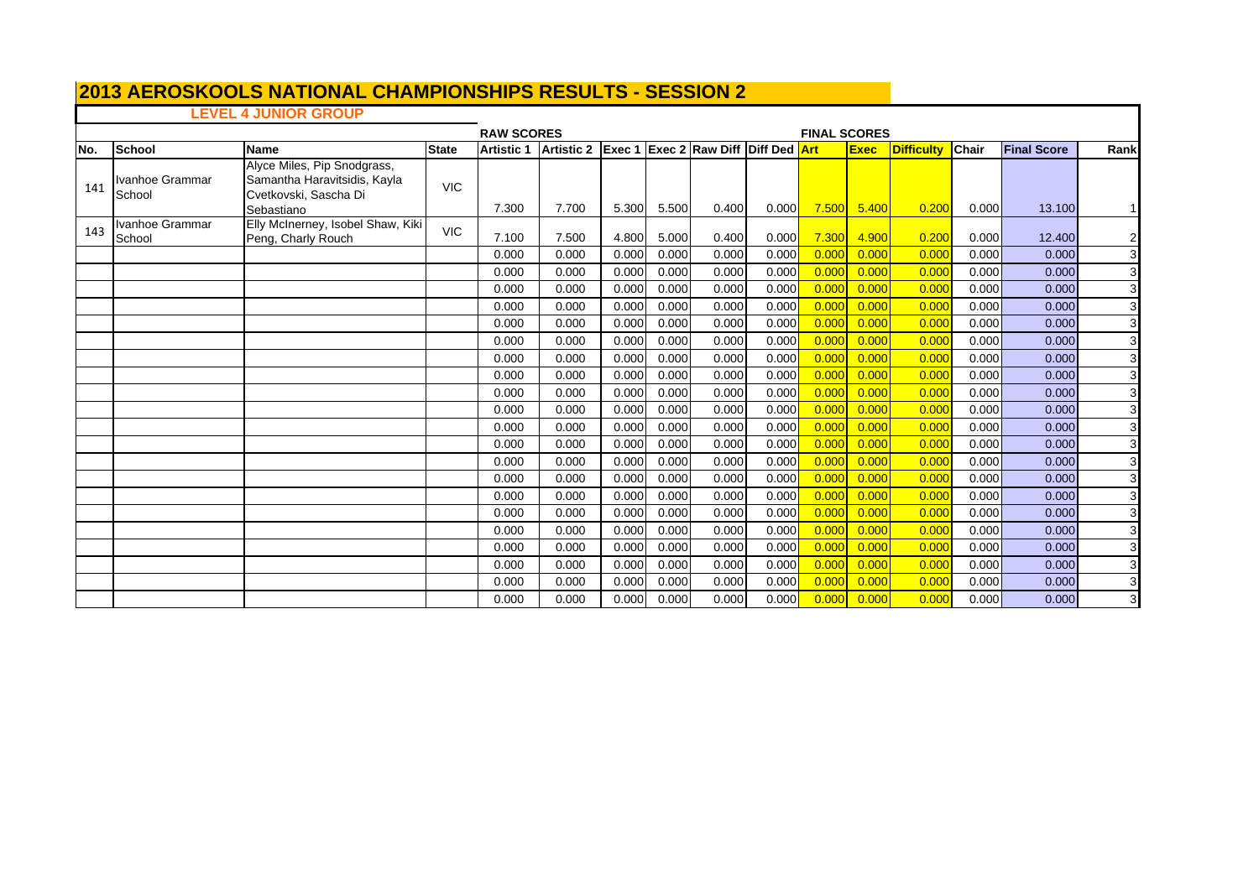# **2013 AEROSKOOLS NATIONAL CHAMPIONSHIPS RESULTS - SESSION 2 LEVEL 4 JUNIOR GROUP**

|      |                           |                                                                                                    |              | <b>RAW SCORES</b> |                   |       |       |                                            |       | <b>FINAL SCORES</b> |             |                   |              |                    |                |
|------|---------------------------|----------------------------------------------------------------------------------------------------|--------------|-------------------|-------------------|-------|-------|--------------------------------------------|-------|---------------------|-------------|-------------------|--------------|--------------------|----------------|
| INo. | <b>School</b>             | Name                                                                                               | <b>State</b> | <b>Artistic 1</b> | <b>Artistic 2</b> |       |       | <b>Exec 1 Exec 2 Raw Diff Diff Ded Art</b> |       |                     | <b>Exec</b> | <b>Difficulty</b> | <b>Chair</b> | <b>Final Score</b> | Rank           |
| 141  | Ivanhoe Grammar<br>School | Alyce Miles, Pip Snodgrass,<br>Samantha Haravitsidis, Kayla<br>Cvetkovski, Sascha Di<br>Sebastiano | <b>VIC</b>   | 7.300             | 7.700             | 5.300 | 5.500 | 0.400                                      | 0.000 | 7.500               | 5.400       | 0.200             | 0.000        | 13.100             | $\mathbf{1}$   |
| 143  | Ivanhoe Grammar<br>School | Elly McInerney, Isobel Shaw, Kiki<br>Peng, Charly Rouch                                            | <b>VIC</b>   | 7.100             | 7.500             | 4.800 | 5.000 | 0.400                                      | 0.000 | 7.300               | 4.900       | 0.200             | 0.000        | 12.400             | $\overline{2}$ |
|      |                           |                                                                                                    |              | 0.000             | 0.000             | 0.000 | 0.000 | 0.000                                      | 0.000 | 0.00C               | 0.000       | 0.000             | 0.000        | 0.000              | 3              |
|      |                           |                                                                                                    |              | 0.000             | 0.000             | 0.000 | 0.000 | 0.000                                      | 0.000 | 0.000               | 0.000       | 0.000             | 0.000        | 0.000              | 3              |
|      |                           |                                                                                                    |              | 0.000             | 0.000             | 0.000 | 0.000 | 0.000                                      | 0.000 | 0.000               | 0.000       | 0.000             | 0.000        | 0.000              | $\overline{3}$ |
|      |                           |                                                                                                    |              | 0.000             | 0.000             | 0.000 | 0.000 | 0.000                                      | 0.000 | 0.000               | 0.000       | 0.000             | 0.000        | 0.000              | 3              |
|      |                           |                                                                                                    |              | 0.000             | 0.000             | 0.000 | 0.000 | 0.000                                      | 0.000 | 0.000               | 0.000       | 0.000             | 0.000        | 0.000              | 3              |
|      |                           |                                                                                                    |              | 0.000             | 0.000             | 0.000 | 0.000 | 0.000                                      | 0.000 | 0.000               | 0.000       | 0.000             | 0.000        | 0.000              | 3              |
|      |                           |                                                                                                    |              | 0.000             | 0.000             | 0.000 | 0.000 | 0.000                                      | 0.000 | 0.00C               | 0.000       | 0.000             | 0.000        | 0.000              | 3              |
|      |                           |                                                                                                    |              | 0.000             | 0.000             | 0.000 | 0.000 | 0.000                                      | 0.000 | 0.000               | 0.000       | 0.000             | 0.000        | 0.000              | $\overline{3}$ |
|      |                           |                                                                                                    |              | 0.000             | 0.000             | 0.000 | 0.000 | 0.000                                      | 0.000 | 0.00C               | 0.000       | 0.000             | 0.000        | 0.000              | 3              |
|      |                           |                                                                                                    |              | 0.000             | 0.000             | 0.000 | 0.000 | 0.000                                      | 0.000 | 0.000               | 0.000       | 0.000             | 0.000        | 0.000              | 3              |
|      |                           |                                                                                                    |              | 0.000             | 0.000             | 0.000 | 0.000 | 0.000                                      | 0.000 | 0.000               | 0.000       | 0.000             | 0.000        | 0.000              | 3              |
|      |                           |                                                                                                    |              | 0.000             | 0.000             | 0.000 | 0.000 | 0.000                                      | 0.000 | 0.00C               | 0.000       | 0.000             | 0.000        | 0.000              | 3              |
|      |                           |                                                                                                    |              | 0.000             | 0.000             | 0.000 | 0.000 | 0.000                                      | 0.000 | 0.000               | 0.000       | 0.000             | 0.000        | 0.000              | 3              |
|      |                           |                                                                                                    |              | 0.000             | 0.000             | 0.000 | 0.000 | 0.000                                      | 0.000 | 0.000               | 0.000       | 0.000             | 0.000        | 0.000              | 3 <sup>l</sup> |
|      |                           |                                                                                                    |              | 0.000             | 0.000             | 0.000 | 0.000 | 0.000                                      | 0.000 | 0.00C               | 0.000       | 0.000             | 0.000        | 0.000              | 3              |
|      |                           |                                                                                                    |              | 0.000             | 0.000             | 0.000 | 0.000 | 0.000                                      | 0.000 | 0.000               | 0.000       | 0.000             | 0.000        | 0.000              | $\overline{3}$ |
|      |                           |                                                                                                    |              | 0.000             | 0.000             | 0.000 | 0.000 | 0.000                                      | 0.000 | 0.00C               | 0.000       | 0.000             | 0.000        | 0.000              | $\overline{3}$ |
|      |                           |                                                                                                    |              | 0.000             | 0.000             | 0.000 | 0.000 | 0.000                                      | 0.000 | 0.000               | 0.000       | 0.000             | 0.000        | 0.000              | 3              |
|      |                           |                                                                                                    |              | 0.000             | 0.000             | 0.000 | 0.000 | 0.000                                      | 0.000 | 0.000               | 0.000       | 0.000             | 0.000        | 0.000              | 3              |
|      |                           |                                                                                                    |              | 0.000             | 0.000             | 0.000 | 0.000 | 0.000                                      | 0.000 | 0.000               | 0.000       | 0.000             | 0.000        | 0.000              | 3              |
|      |                           |                                                                                                    |              | 0.000             | 0.000             | 0.000 | 0.000 | 0.000                                      | 0.000 | 0.000               | 0.000       | 0.000             | 0.000        | 0.000              | 3              |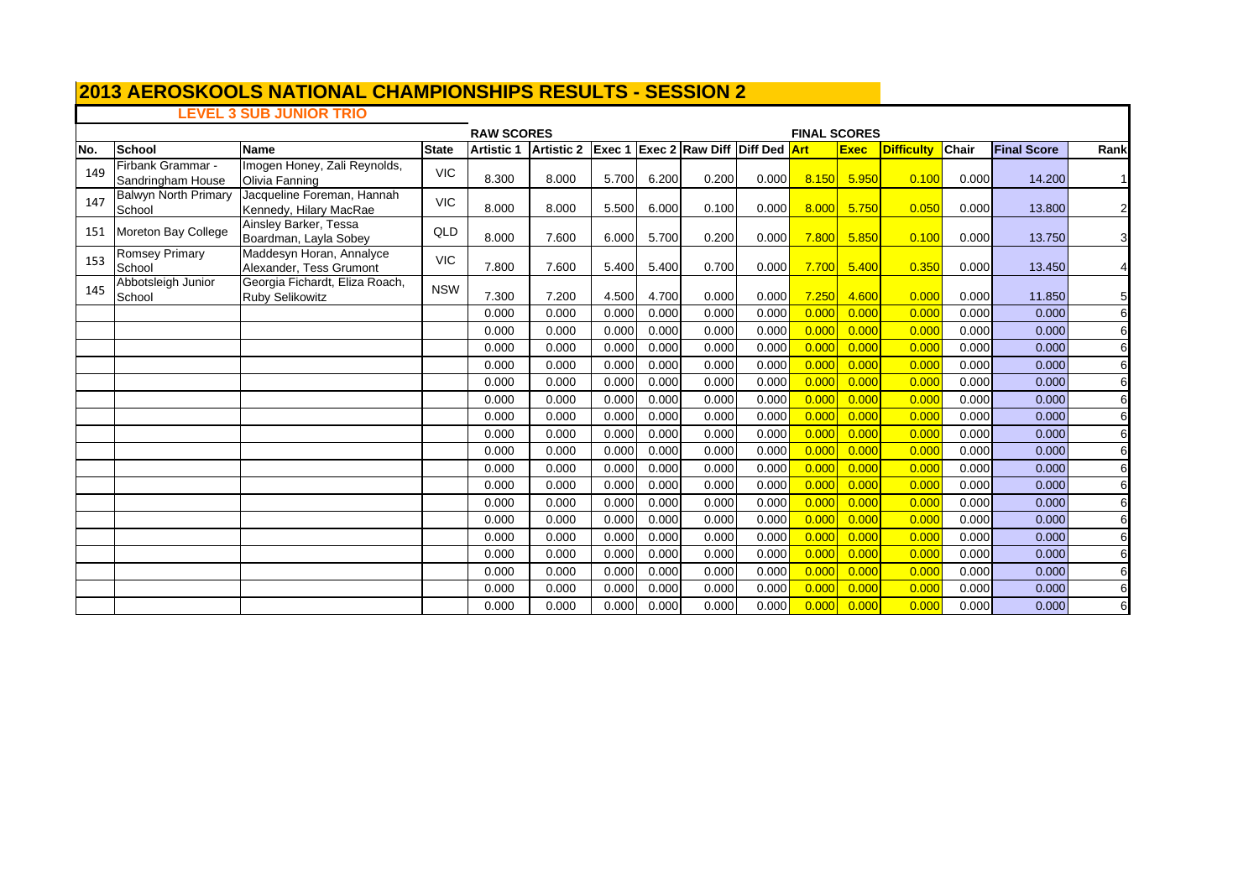# **LEVEL 3 SUB JUNIOR TRIO**

|     |                                        |                                                          |              | <b>RAW SCORES</b> |                   |        |       |                                     |       | <b>FINAL SCORES</b> |             |                   |       |                    |                |
|-----|----------------------------------------|----------------------------------------------------------|--------------|-------------------|-------------------|--------|-------|-------------------------------------|-------|---------------------|-------------|-------------------|-------|--------------------|----------------|
| No. | School                                 | <b>Name</b>                                              | <b>State</b> | <b>Artistic 1</b> | <b>Artistic 2</b> | Exec 1 |       | <b>Exec 2 Raw Diff Diff Ded Art</b> |       |                     | <b>Exec</b> | <b>Difficulty</b> | Chair | <b>Final Score</b> | Rank           |
| 149 | Firbank Grammar -<br>Sandringham House | Imogen Honey, Zali Reynolds,<br>Olivia Fanning           | <b>VIC</b>   | 8.300             | 8.000             | 5.700  | 6.200 | 0.200                               | 0.000 | 8.150               | 5.950       | 0.100             | 0.000 | 14.200             |                |
| 147 | <b>Balwyn North Primary</b><br>School  | Jacqueline Foreman, Hannah<br>Kennedy, Hilary MacRae     | <b>VIC</b>   | 8.000             | 8.000             | 5.500  | 6.000 | 0.100                               | 0.000 | 8.000               | 5.750       | 0.050             | 0.000 | 13.800             | $\overline{a}$ |
| 151 | Moreton Bay College                    | Ainsley Barker, Tessa<br>Boardman, Layla Sobey           | QLD          | 8.000             | 7.600             | 6.000  | 5.700 | 0.200                               | 0.000 | 7.800               | 5.850       | 0.100             | 0.000 | 13.750             | 3              |
| 153 | Romsey Primary<br>School               | Maddesyn Horan, Annalyce<br>Alexander, Tess Grumont      | <b>VIC</b>   | 7.800             | 7.600             | 5.400  | 5.400 | 0.700                               | 0.000 | 7.700               | 5.400       | 0.350             | 0.000 | 13.450             | 4              |
| 145 | Abbotsleigh Junior<br>School           | Georgia Fichardt, Eliza Roach,<br><b>Ruby Selikowitz</b> | <b>NSW</b>   | 7.300             | 7.200             | 4.500  | 4.700 | 0.000                               | 0.000 | 7.250               | 4.600       | 0.000             | 0.000 | 11.850             | 5              |
|     |                                        |                                                          |              | 0.000             | 0.000             | 0.000  | 0.000 | 0.000                               | 0.000 | 0.000               | 0.000       | 0.000             | 0.000 | 0.000              | 6              |
|     |                                        |                                                          |              | 0.000             | 0.000             | 0.000  | 0.000 | 0.000                               | 0.000 | 0.000               | 0.000       | 0.000             | 0.000 | 0.000              | 6              |
|     |                                        |                                                          |              | 0.000             | 0.000             | 0.000  | 0.000 | 0.000                               | 0.000 | 0.000               | 0.000       | 0.000             | 0.000 | 0.000              | 6              |
|     |                                        |                                                          |              | 0.000             | 0.000             | 0.000  | 0.000 | 0.000                               | 0.000 | 0.000               | 0.000       | 0.000             | 0.000 | 0.000              | 6              |
|     |                                        |                                                          |              | 0.000             | 0.000             | 0.000  | 0.000 | 0.000                               | 0.000 | 0.000               | 0.000       | 0.000             | 0.000 | 0.000              | 6              |
|     |                                        |                                                          |              | 0.000             | 0.000             | 0.000  | 0.000 | 0.000                               | 0.000 | 0.000               | 0.000       | 0.000             | 0.000 | 0.000              | 6              |
|     |                                        |                                                          |              | 0.000             | 0.000             | 0.000  | 0.000 | 0.000                               | 0.000 | 0.000               | 0.000       | 0.000             | 0.000 | 0.000              | 6              |
|     |                                        |                                                          |              | 0.000             | 0.000             | 0.000  | 0.000 | 0.000                               | 0.000 | 0.000               | 0.000       | 0.000             | 0.000 | 0.000              | 6              |
|     |                                        |                                                          |              | 0.000             | 0.000             | 0.000  | 0.000 | 0.000                               | 0.000 | 0.000               | 0.000       | 0.000             | 0.000 | 0.000              | 6              |
|     |                                        |                                                          |              | 0.000             | 0.000             | 0.000  | 0.000 | 0.000                               | 0.000 | 0.000               | 0.000       | 0.000             | 0.000 | 0.000              | 6              |
|     |                                        |                                                          |              | 0.000             | 0.000             | 0.000  | 0.000 | 0.000                               | 0.000 | 0.000               | 0.000       | 0.000             | 0.000 | 0.000              | 6              |
|     |                                        |                                                          |              | 0.000             | 0.000             | 0.000  | 0.000 | 0.000                               | 0.000 | 0.000               | 0.000       | 0.000             | 0.000 | 0.000              | 6              |
|     |                                        |                                                          |              | 0.000             | 0.000             | 0.000  | 0.000 | 0.000                               | 0.000 | 0.000               | 0.000       | 0.000             | 0.000 | 0.000              | 6              |
|     |                                        |                                                          |              | 0.000             | 0.000             | 0.000  | 0.000 | 0.000                               | 0.000 | 0.000               | 0.000       | 0.000             | 0.000 | 0.000              | 6              |
|     |                                        |                                                          |              | 0.000             | 0.000             | 0.000  | 0.000 | 0.000                               | 0.000 | 0.000               | 0.000       | 0.000             | 0.000 | 0.000              | 6              |
|     |                                        |                                                          |              | 0.000             | 0.000             | 0.000  | 0.000 | 0.000                               | 0.000 | 0.000               | 0.000       | 0.000             | 0.000 | 0.000              | 6              |
|     |                                        |                                                          |              | 0.000             | 0.000             | 0.000  | 0.000 | 0.000                               | 0.000 | 0.000               | 0.000       | 0.000             | 0.000 | 0.000              | 6              |
|     |                                        |                                                          |              | 0.000             | 0.000             | 0.000  | 0.000 | 0.000                               | 0.000 | 0.000               | 0.000       | 0.000             | 0.000 | 0.000              | 6              |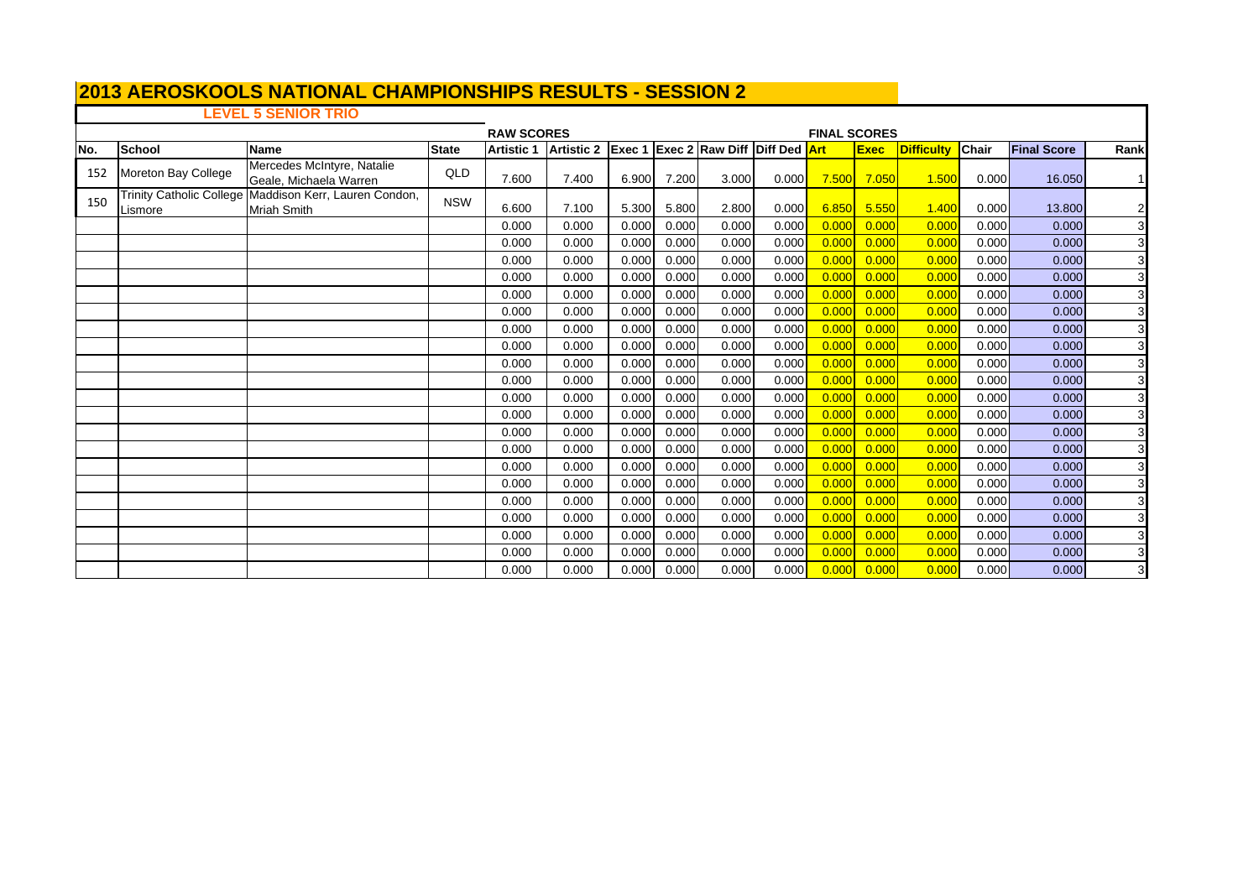# **LEVEL 5 SENIOR TRIO**

|     |                     |                                                                              |              | <b>RAW SCORES</b> |                                                |       |       |       |       | <b>FINAL SCORES</b> |             |                   |       |                    |                         |
|-----|---------------------|------------------------------------------------------------------------------|--------------|-------------------|------------------------------------------------|-------|-------|-------|-------|---------------------|-------------|-------------------|-------|--------------------|-------------------------|
| No. | <b>School</b>       | <b>Name</b>                                                                  | <b>State</b> | <b>Artistic 1</b> | Artistic 2 Exec 1 Exec 2 Raw Diff Diff Ded Art |       |       |       |       |                     | <b>Exec</b> | <b>Difficulty</b> | Chair | <b>Final Score</b> | Rank                    |
| 152 | Moreton Bay College | Mercedes McIntyre, Natalie<br>Geale, Michaela Warren                         | QLD          | 7.600             | 7.400                                          | 6.900 | 7.200 | 3.000 | 0.000 | 7.500               | 7.050       | 1.500             | 0.000 | 16.050             |                         |
| 150 | Lismore             | Trinity Catholic College Maddison Kerr, Lauren Condon,<br><b>Mriah Smith</b> | <b>NSW</b>   | 6.600             | 7.100                                          | 5.300 | 5.800 | 2.800 | 0.000 | 6.850               | 5.550       | 1.400             | 0.000 | 13.800             | $\mathbf{2}$            |
|     |                     |                                                                              |              | 0.000             | 0.000                                          | 0.000 | 0.000 | 0.000 | 0.000 | 0.000               | 0.000       | 0.000             | 0.000 | 0.000              | 3                       |
|     |                     |                                                                              |              | 0.000             | 0.000                                          | 0.000 | 0.000 | 0.000 | 0.000 | 0.000               | 0.000       | 0.000             | 0.000 | 0.000              | 3                       |
|     |                     |                                                                              |              | 0.000             | 0.000                                          | 0.000 | 0.000 | 0.000 | 0.000 | 0.000               | 0.000       | 0.000             | 0.000 | 0.000              | $\overline{\mathbf{3}}$ |
|     |                     |                                                                              |              | 0.000             | 0.000                                          | 0.000 | 0.000 | 0.000 | 0.000 | 0.000               | 0.000       | 0.000             | 0.000 | 0.000              | $\overline{\mathbf{3}}$ |
|     |                     |                                                                              |              | 0.000             | 0.000                                          | 0.000 | 0.000 | 0.000 | 0.000 | 0.000               | 0.000       | 0.000             | 0.000 | 0.000              | 3                       |
|     |                     |                                                                              |              | 0.000             | 0.000                                          | 0.000 | 0.000 | 0.000 | 0.000 | 0.000               | 0.000       | 0.000             | 0.000 | 0.000              | 3                       |
|     |                     |                                                                              |              | 0.000             | 0.000                                          | 0.000 | 0.000 | 0.000 | 0.000 | 0.000               | 0.000       | 0.000             | 0.000 | 0.000              | 3                       |
|     |                     |                                                                              |              | 0.000             | 0.000                                          | 0.000 | 0.000 | 0.000 | 0.000 | 0.000               | 0.000       | 0.000             | 0.000 | 0.000              | $\overline{\mathbf{3}}$ |
|     |                     |                                                                              |              | 0.000             | 0.000                                          | 0.000 | 0.000 | 0.000 | 0.000 | 0.000               | 0.000       | 0.000             | 0.000 | 0.000              | $\overline{\mathbf{3}}$ |
|     |                     |                                                                              |              | 0.000             | 0.000                                          | 0.000 | 0.000 | 0.000 | 0.000 | 0.000               | 0.000       | 0.000             | 0.000 | 0.000              | 3                       |
|     |                     |                                                                              |              | 0.000             | 0.000                                          | 0.000 | 0.000 | 0.000 | 0.000 | 0.000               | 0.000       | 0.000             | 0.000 | 0.000              | 3                       |
|     |                     |                                                                              |              | 0.000             | 0.000                                          | 0.000 | 0.000 | 0.000 | 0.000 | 0.000               | 0.000       | 0.000             | 0.000 | 0.000              | 3                       |
|     |                     |                                                                              |              | 0.000             | 0.000                                          | 0.000 | 0.000 | 0.000 | 0.000 | 0.000               | 0.000       | 0.000             | 0.000 | 0.000              | $\overline{\mathbf{3}}$ |
|     |                     |                                                                              |              | 0.000             | 0.000                                          | 0.000 | 0.000 | 0.000 | 0.000 | 0.000               | 0.000       | 0.000             | 0.000 | 0.000              | 3                       |
|     |                     |                                                                              |              | 0.000             | 0.000                                          | 0.000 | 0.000 | 0.000 | 0.000 | 0.000               | 0.000       | 0.000             | 0.000 | 0.000              | 3                       |
|     |                     |                                                                              |              | 0.000             | 0.000                                          | 0.000 | 0.000 | 0.000 | 0.000 | 0.000               | 0.000       | 0.000             | 0.000 | 0.000              | 3                       |
|     |                     |                                                                              |              | 0.000             | 0.000                                          | 0.000 | 0.000 | 0.000 | 0.000 | 0.000               | 0.000       | 0.000             | 0.000 | 0.000              |                         |
|     |                     |                                                                              |              | 0.000             | 0.000                                          | 0.000 | 0.000 | 0.000 | 0.000 | 0.000               | 0.000       | 0.000             | 0.000 | 0.000              | $\overline{\mathbf{3}}$ |
|     |                     |                                                                              |              | 0.000             | 0.000                                          | 0.000 | 0.000 | 0.000 | 0.000 | 0.000               | 0.000       | 0.000             | 0.000 | 0.000              | 3                       |
|     |                     |                                                                              |              | 0.000             | 0.000                                          | 0.000 | 0.000 | 0.000 | 0.000 | 0.000               | 0.000       | 0.000             | 0.000 | 0.000              | 3                       |
|     |                     |                                                                              |              | 0.000             | 0.000                                          | 0.000 | 0.000 | 0.000 | 0.000 | 0.000               | 0.000       | 0.000             | 0.000 | 0.000              | 3                       |